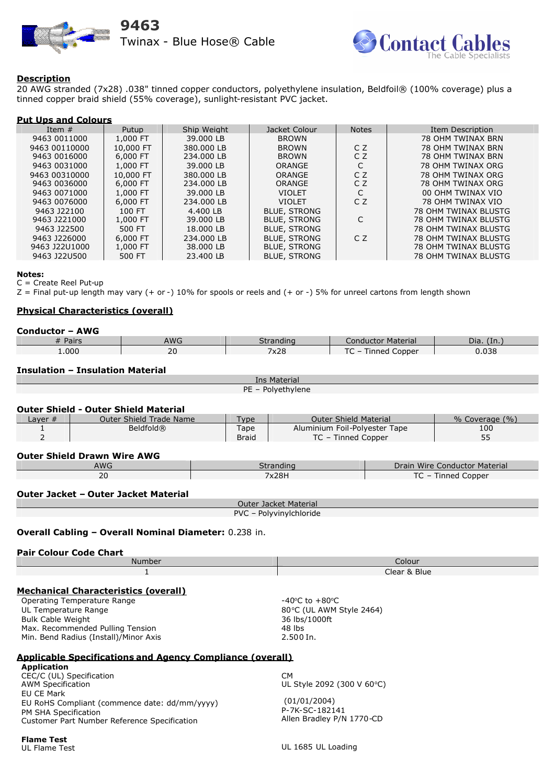



# **Description**

20 AWG stranded (7x28) .038" tinned copper conductors, polyethylene insulation, Beldfoil® (100% coverage) plus a tinned copper braid shield (55% coverage), sunlight-resistant PVC jacket.

## **Put Ups and Colours**

| Item $#$      | Putup     | Ship Weight | Jacket Colour       | <b>Notes</b>   | Item Description     |
|---------------|-----------|-------------|---------------------|----------------|----------------------|
| 9463 0011000  | 1,000 FT  | 39.000 LB   | <b>BROWN</b>        |                | 78 OHM TWINAX BRN    |
| 9463 00110000 | 10,000 FT | 380.000 LB  | <b>BROWN</b>        | CZ             | 78 OHM TWINAX BRN    |
| 9463 0016000  | 6,000 FT  | 234,000 LB  | <b>BROWN</b>        | C Z            | 78 OHM TWINAX BRN    |
| 9463 0031000  | 1,000 FT  | 39.000 LB   | <b>ORANGE</b>       | C              | 78 OHM TWINAX ORG    |
| 9463 00310000 | 10,000 FT | 380.000 LB  | ORANGE              | C <sub>Z</sub> | 78 OHM TWINAX ORG    |
| 9463 0036000  | 6,000 FT  | 234,000 LB  | <b>ORANGE</b>       | C <sub>Z</sub> | 78 OHM TWINAX ORG    |
| 9463 0071000  | 1,000 FT  | 39.000 LB   | <b>VIOLET</b>       | C              | 00 OHM TWINAX VIO    |
| 9463 0076000  | 6,000 FT  | 234.000 LB  | <b>VIOLET</b>       | CZ             | 78 OHM TWINAX VIO    |
| 9463 J22100   | 100 FT    | 4.400 LB    | <b>BLUE, STRONG</b> |                | 78 OHM TWINAX BLUSTG |
| 9463 J221000  | 1,000 FT  | 39,000 LB   | <b>BLUE, STRONG</b> |                | 78 OHM TWINAX BLUSTG |
| 9463 J22500   | 500 FT    | 18.000 LB   | <b>BLUE, STRONG</b> |                | 78 OHM TWINAX BLUSTG |
| 9463 1226000  | 6,000 FT  | 234.000 LB  | <b>BLUE, STRONG</b> | CZ             | 78 OHM TWINAX BLUSTG |
| 9463 J22U1000 | 1,000 FT  | 38,000 LB   | <b>BLUE, STRONG</b> |                | 78 OHM TWINAX BLUSTG |
| 9463 J22U500  | 500 FT    | 23.400 LB   | <b>BLUE, STRONG</b> |                | 78 OHM TWINAX BLUSTG |

#### **Notes:**

C = Create Reel Put-up

 $Z =$  Final put-up length may vary (+ or -) 10% for spools or reels and (+ or -) 5% for unreel cartons from length shown

# **Physical Characteristics (overall)**

#### **Conductor – AWG**<br># Pairs AWG | Stranding | Conductor Material | Dia. (In.) 1.000 20 1 2x28 TC – Tinned Copper 0.038 **Insulation – Insulation Material** Ins Material PE – Polyethylene **Outer Shield - Outer Shield Material Coverage (%)** Outer Shield Trade Name Type **Outer Shield Material 6 % Coverage (%)** 1  $\mathcal{L}$ Beldfold® Tape **Braid** Aluminium Foil-Polyester Tape TC – Tinned Copper 100 55 **Outer Shield Drawn Wire AWG** Awarding **Conductor Conductor Material** 20 7x28H TC – Tinned Copper **Outer Jacket – Outer Jacket Material** Outer Jacket Material PVC – Polyvinylchloride **Overall Cabling – Overall Nominal Diameter:** 0.238 in. **Pair Colour Code Chart** Number Colour 1 Clear & Blue **Mechanical Characteristics (overall)** Operating Temperature Range UL Temperature Range Bulk Cable Weight Max. Recommended Pulling Tension Min. Bend Radius (Install)/Minor Axis  $-40^{\circ}$ C to  $+80^{\circ}$ C 80°C (UL AWM Style 2464) 36 lbs/1000ft 48 lbs 2.500 In.

### **Applicable Specifications and Agency Compliance (overall)**

**Application** CEC/C (UL) Specification AWM Specification EU CE Mark EU RoHS Compliant (commence date: dd/mm/yyyy) PM SHA Specification Customer Part Number Reference Specification

**Flame Test** UL Flame Test

UL 1685 UL Loading

 (01/01/2004) P-7K-SC-182141

UL Style 2092 (300 V 60°C)

Allen Bradley P/N 1770-CD

 $CM$